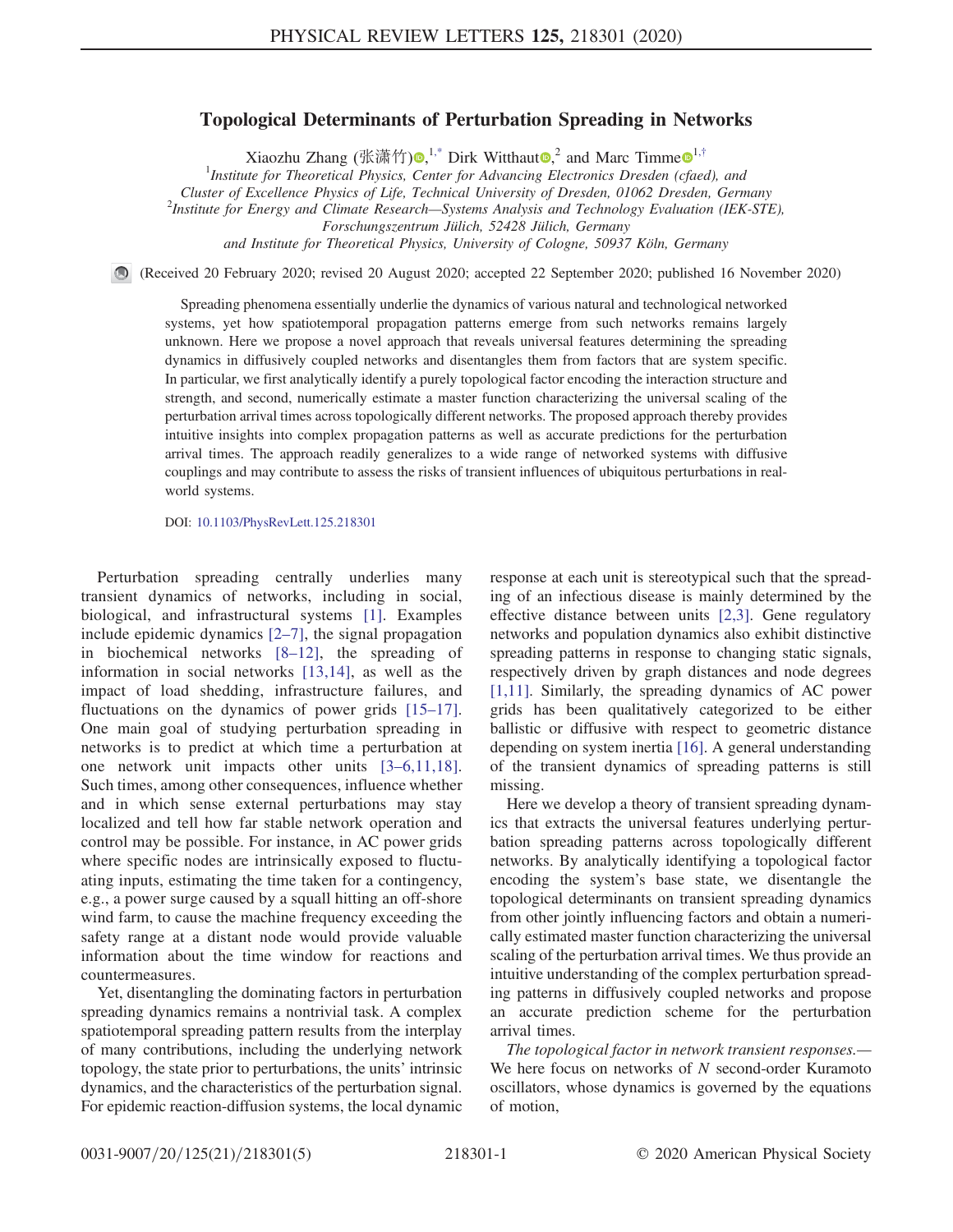## Topological Determinants of Perturbation Spreading in Networks

Xiaozhu Zhang (张潇竹) $\mathbf{\Theta},^{1,*}$  $\mathbf{\Theta},^{1,*}$  $\mathbf{\Theta},^{1,*}$  $\mathbf{\Theta},^{1,*}$  $\mathbf{\Theta},^{1,*}$  Dirk Witthaut $\mathbf{\Theta},^2$  and Marc Timme $\mathbf{\Theta}^{1,*}$  $\mathbf{\Theta}^{1,*}$  $\mathbf{\Theta}^{1,*}$ 

<sup>1</sup>Institute for Theoretical Physics, Center for Advancing Electronics Dresden (cfaed), and

Cluster of Excellence Physics of Life, Technical University of Dresden, 01062 Dresden, Germany <sup>2</sup>

<span id="page-0-0"></span><sup>2</sup>Institute for Energy and Climate Research—Systems Analysis and Technology Evaluation (IEK-STE),

Forschungszentrum Jülich, 52428 Jülich, Germany

and Institute for Theoretical Physics, University of Cologne, 50937 Köln, Germany

(Received 20 February 2020; revised 20 August 2020; accepted 22 September 2020; published 16 November 2020)

Spreading phenomena essentially underlie the dynamics of various natural and technological networked systems, yet how spatiotemporal propagation patterns emerge from such networks remains largely unknown. Here we propose a novel approach that reveals universal features determining the spreading dynamics in diffusively coupled networks and disentangles them from factors that are system specific. In particular, we first analytically identify a purely topological factor encoding the interaction structure and strength, and second, numerically estimate a master function characterizing the universal scaling of the perturbation arrival times across topologically different networks. The proposed approach thereby provides intuitive insights into complex propagation patterns as well as accurate predictions for the perturbation arrival times. The approach readily generalizes to a wide range of networked systems with diffusive couplings and may contribute to assess the risks of transient influences of ubiquitous perturbations in realworld systems.

DOI: [10.1103/PhysRevLett.125.218301](https://doi.org/10.1103/PhysRevLett.125.218301)

Perturbation spreading centrally underlies many transient dynamics of networks, including in social, biological, and infrastructural systems [\[1\].](#page-4-2) Examples include epidemic dynamics [2–[7\],](#page-4-3) the signal propagation in biochemical networks [8–[12\]](#page-4-4), the spreading of information in social networks [\[13,14\]](#page-4-5), as well as the impact of load shedding, infrastructure failures, and fluctuations on the dynamics of power grids [\[15](#page-4-6)–17]. One main goal of studying perturbation spreading in networks is to predict at which time a perturbation at one network unit impacts other units [3–[6,11,18\]](#page-4-7). Such times, among other consequences, influence whether and in which sense external perturbations may stay localized and tell how far stable network operation and control may be possible. For instance, in AC power grids where specific nodes are intrinsically exposed to fluctuating inputs, estimating the time taken for a contingency, e.g., a power surge caused by a squall hitting an off-shore wind farm, to cause the machine frequency exceeding the safety range at a distant node would provide valuable information about the time window for reactions and countermeasures.

Yet, disentangling the dominating factors in perturbation spreading dynamics remains a nontrivial task. A complex spatiotemporal spreading pattern results from the interplay of many contributions, including the underlying network topology, the state prior to perturbations, the units' intrinsic dynamics, and the characteristics of the perturbation signal. For epidemic reaction-diffusion systems, the local dynamic response at each unit is stereotypical such that the spreading of an infectious disease is mainly determined by the effective distance between units [\[2,3\].](#page-4-3) Gene regulatory networks and population dynamics also exhibit distinctive spreading patterns in response to changing static signals, respectively driven by graph distances and node degrees [\[1,11\]](#page-4-2). Similarly, the spreading dynamics of AC power grids has been qualitatively categorized to be either ballistic or diffusive with respect to geometric distance depending on system inertia [\[16\]](#page-4-8). A general understanding of the transient dynamics of spreading patterns is still missing.

Here we develop a theory of transient spreading dynamics that extracts the universal features underlying perturbation spreading patterns across topologically different networks. By analytically identifying a topological factor encoding the system's base state, we disentangle the topological determinants on transient spreading dynamics from other jointly influencing factors and obtain a numerically estimated master function characterizing the universal scaling of the perturbation arrival times. We thus provide an intuitive understanding of the complex perturbation spreading patterns in diffusively coupled networks and propose an accurate prediction scheme for the perturbation arrival times.

The topological factor in network transient responses.— We here focus on networks of  $N$  second-order Kuramoto oscillators, whose dynamics is governed by the equations of motion,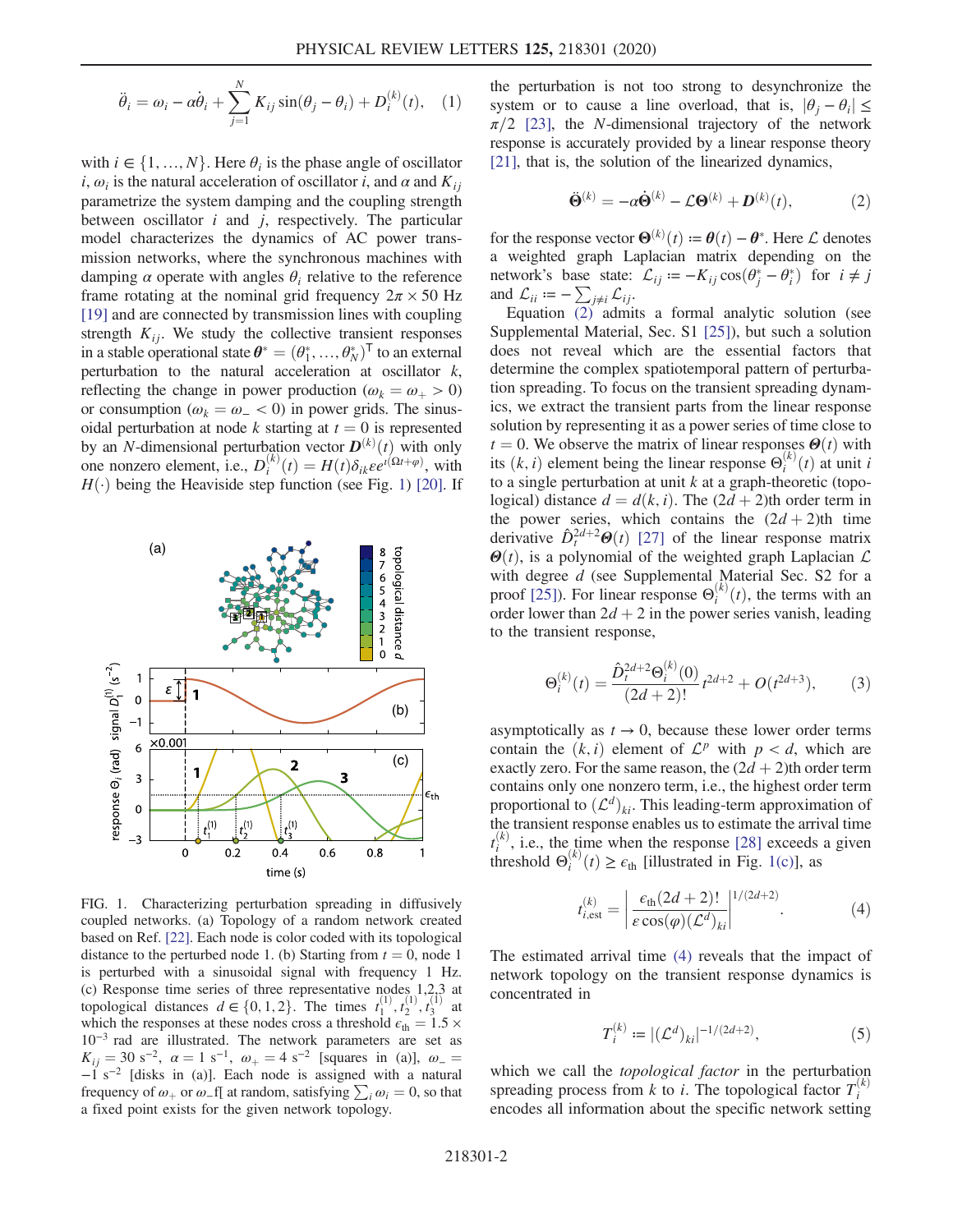$$
\ddot{\theta}_i = \omega_i - \alpha \dot{\theta}_i + \sum_{j=1}^N K_{ij} \sin(\theta_j - \theta_i) + D_i^{(k)}(t), \quad (1)
$$

with  $i \in \{1, ..., N\}$ . Here  $\theta_i$  is the phase angle of oscillator i,  $\omega_i$  is the natural acceleration of oscillator i, and  $\alpha$  and  $K_{ii}$ parametrize the system damping and the coupling strength between oscillator  $i$  and  $j$ , respectively. The particular model characterizes the dynamics of AC power transmission networks, where the synchronous machines with damping  $\alpha$  operate with angles  $\theta_i$  relative to the reference frame rotating at the nominal grid frequency  $2\pi \times 50$  Hz [\[19\]](#page-4-9) and are connected by transmission lines with coupling strength  $K_{ij}$ . We study the collective transient responses in a stable operational state  $\boldsymbol{\theta}^* = (\theta_1^*, ..., \theta_N^*)^T$  to an external perturbation to the natural acceleration at oscillator k perturbation to the natural acceleration at oscillator  $k$ , reflecting the change in power production ( $\omega_k = \omega_+ > 0$ ) or consumption ( $\omega_k = \omega_{-} < 0$ ) in power grids. The sinusoidal perturbation at node k starting at  $t = 0$  is represented by an *N*-dimensional perturbation vector  $\mathbf{D}^{(k)}(t)$  with only<br>one nonzero element i.e.  $D^{(k)}(t) - H(t)\delta_{\alpha}se^{i(\Omega t + \varphi)}$  with one nonzero element, i.e.,  $D_i^{(k)}(t) = H(t)\delta_{ik}\varepsilon e^{t(\Omega t + \varphi)}$ , with  $H(\cdot)$  being the Heaviside step function (see Fig. 1) [20] If  $H(\cdot)$  being the Heaviside step function (see Fig. [1\)](#page-1-0) [\[20\]](#page-4-10). If

<span id="page-1-0"></span>

FIG. 1. Characterizing perturbation spreading in diffusively coupled networks. (a) Topology of a random network created based on Ref. [\[22\].](#page-4-16) Each node is color coded with its topological distance to the perturbed node 1. (b) Starting from  $t = 0$ , node 1 is perturbed with a sinusoidal signal with frequency 1 Hz. (c) Response time series of three representative nodes 1,2,3 at topological distances  $d \in \{0, 1, 2\}$ . The times  $t_1^{(1)}, t_2^{(1)}, t_3^{(1)}$  at which the responses at these nodes cross a threshold  $\varepsilon$ .  $-1.5 \times$ which the responses at these nodes cross a threshold  $\epsilon_{\text{th}} = 1.5 \times$ 10<sup>−</sup><sup>3</sup> rad are illustrated. The network parameters are set as  $K_{ij} = 30 \text{ s}^{-2}$ ,  $\alpha = 1 \text{ s}^{-1}$ ,  $\omega_{+} = 4 \text{ s}^{-2}$  [squares in (a)],  $\omega_{-} = -1 \text{ s}^{-2}$  [disks in (a)]. Each node is assigned with a natural frequency of  $\omega_+$  or  $\omega_-$  f[ at random, satisfying  $\sum_i \omega_i = 0$ , so that a fixed point exists for the given network topology a fixed point exists for the given network topology.

<span id="page-1-1"></span>the perturbation is not too strong to desynchronize the system or to cause a line overload, that is,  $|\theta_i - \theta_i| \leq$  $\pi/2$  [\[23\]](#page-4-11), the *N*-dimensional trajectory of the network response is accurately provided by a linear response theory [\[21\],](#page-4-12) that is, the solution of the linearized dynamics,

$$
\ddot{\mathbf{\Theta}}^{(k)} = -\alpha \dot{\mathbf{\Theta}}^{(k)} - \mathcal{L}\mathbf{\Theta}^{(k)} + \mathbf{D}^{(k)}(t), \tag{2}
$$

for the response vector  $\mathbf{\Theta}^{(k)}(t) := \theta(t) - \theta^*$ . Here  $\mathcal L$  denotes<br>a weighted graph Laplacian matrix depending on the a weighted graph Laplacian matrix depending on the network's base state:  $\mathcal{L}_{ij} := -K_{ij} \cos(\theta_j^* - \theta_i^*)$  for  $i \neq j$ <br>and  $\mathcal{L}_{ij} := -\sum_{j} \mathcal{L}_{ij} \mathcal{L}_{ij}$ and  $\mathcal{L}_{ii} = -\sum_{j\neq i} \mathcal{L}_{ij}$ .

Equation [\(2\)](#page-1-1) admits a formal analytic solution (see Supplemental Material, Sec. S1 [\[25\]\)](#page-4-13), but such a solution does not reveal which are the essential factors that determine the complex spatiotemporal pattern of perturbation spreading. To focus on the transient spreading dynamics, we extract the transient parts from the linear response solution by representing it as a power series of time close to  $t = 0$ . We observe the matrix of linear responses  $\Theta(t)$  with its  $(k, i)$  element being the linear response  $\Theta_i^{(k)}(t)$  at unit is to a single perturbation at unit k at a graph-theoretic (topoto a single perturbation at unit  $k$  at a graph-theoretic (topological) distance  $d = d(k, i)$ . The  $(2d + 2)$ th order term in the power series, which contains the  $(2d + 2)$ th time derivative  $\hat{D}_t^{2d+2}\Theta(t)$  [\[27\]](#page-4-14) of the linear response matrix  $\Theta(t)$ , is a polynomial of the weighted graph Laplacian  $\mathcal L$ with degree d (see Supplemental Material Sec. S2 for a proof [\[25\]](#page-4-13)). For linear response  $\Theta_i^{(k)}(t)$ , the terms with an order lower than  $2d + 2$  in the nower series vanish leading order lower than  $2d + 2$  in the power series vanish, leading to the transient response,

<span id="page-1-4"></span>
$$
\Theta_i^{(k)}(t) = \frac{\hat{D}_t^{2d+2} \Theta_i^{(k)}(0)}{(2d+2)!} t^{2d+2} + O(t^{2d+3}),\tag{3}
$$

asymptotically as  $t \to 0$ , because these lower order terms contain the  $(k, i)$  element of  $\mathcal{L}^p$  with  $p < d$ , which are exactly zero. For the same reason, the  $(2d + 2)$ th order term contains only one nonzero term, i.e., the highest order term proportional to  $(\mathcal{L}^d)_{ki}$ . This leading-term approximation of the transient response enables us to estimate the arrival time  $t_i^{(k)}$ , i.e., the time when the response [\[28\]](#page-4-15) exceeds a given<br>threshold  $\Theta_i^{(k)}(t) \ge \epsilon_{\text{th}}$  [illustrated in Fig. [1\(c\)](#page-1-0)], as

<span id="page-1-2"></span>
$$
t_{i,\text{est}}^{(k)} = \left| \frac{\epsilon_{\text{th}}(2d+2)!}{\epsilon \cos(\varphi)(\mathcal{L}^d)_{ki}} \right|^{1/(2d+2)}.
$$
 (4)

<span id="page-1-3"></span>The estimated arrival time [\(4\)](#page-1-2) reveals that the impact of network topology on the transient response dynamics is concentrated in

$$
T_i^{(k)} := |(\mathcal{L}^d)_{ki}|^{-1/(2d+2)},\tag{5}
$$

which we call the topological factor in the perturbation spreading process from k to i. The topological factor  $T_i^{(k)}$ encodes all information about the specific network setting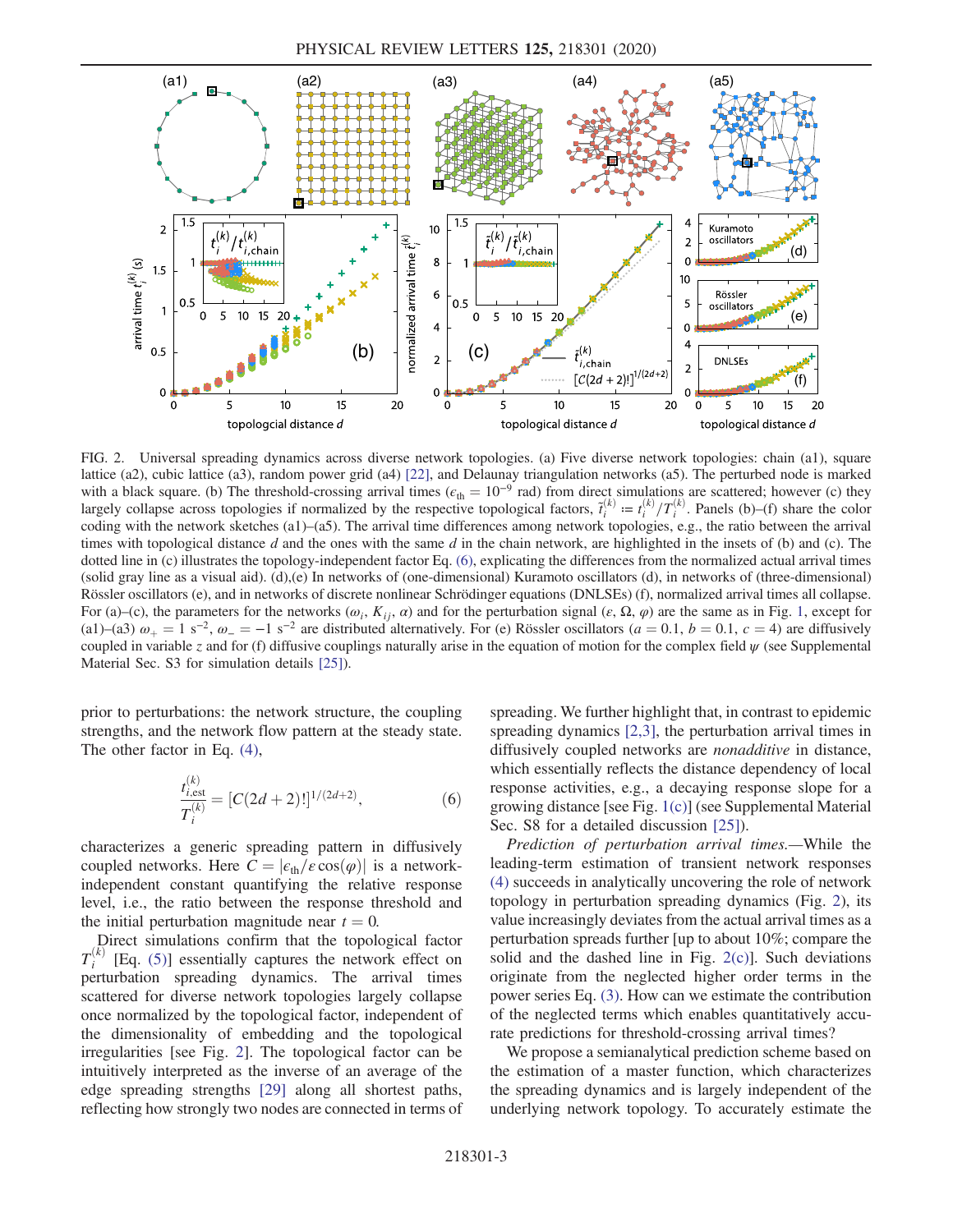<span id="page-2-0"></span>

FIG. 2. Universal spreading dynamics across diverse network topologies. (a) Five diverse network topologies: chain (a1), square lattice (a2), cubic lattice (a3), random power grid (a4) [\[22\]](#page-4-16), and Delaunay triangulation networks (a5). The perturbed node is marked with a black square. (b) The threshold-crossing arrival times ( $\epsilon_{th} = 10^{-9}$  rad) from direct simulations are scattered; however (c) they largely collapse across topologies if normalized by the respective topological factors,  $\tilde{t}_i^{(k)} := t_i^{(k)}/T_i^{(k)}$ . Panels (b)–(f) share the color coding with the network sketches (a1)–(a5). The arrival time differences among network topologies, e.g., the ratio between the arrival times with topological distance d and the ones with the same d in the chain network, are highlighted in the insets of (b) and (c). The dotted line in (c) illustrates the topology-independent factor Eq. [\(6\),](#page-2-1) explicating the differences from the normalized actual arrival times (solid gray line as a visual aid). (d),(e) In networks of (one-dimensional) Kuramoto oscillators (d), in networks of (three-dimensional) Rössler oscillators (e), and in networks of discrete nonlinear Schrödinger equations (DNLSEs) (f), normalized arrival times all collapse. For (a)–(c), the parameters for the networks  $(\omega_i, K_{ij}, \alpha)$  and for the perturbation signal  $(\varepsilon, \Omega, \varphi)$  are the same as in Fig. [1,](#page-1-0) except for (a1)–(a3)  $\omega_+ = 1$  s<sup>-2</sup>,  $\omega_- = -1$  s<sup>-2</sup> are distributed alternatively. For (e) Rössler oscillators (a = 0.1, b = 0.1, c = 4) are diffusively coupled in variable z and for (f) diffusive couplings naturally arise in the equation of motion for the complex field  $\psi$  (see Supplemental Material Sec. S3 for simulation details [\[25\]](#page-4-13)).

<span id="page-2-1"></span>prior to perturbations: the network structure, the coupling strengths, and the network flow pattern at the steady state. The other factor in Eq. [\(4\)](#page-1-2),

$$
\frac{t_{i,\text{est}}^{(k)}}{T_i^{(k)}} = [C(2d+2)!]^{1/(2d+2)},\tag{6}
$$

characterizes a generic spreading pattern in diffusively coupled networks. Here  $C = |\epsilon_{th}/\epsilon \cos(\varphi)|$  is a networkindependent constant quantifying the relative response level, i.e., the ratio between the response threshold and the initial perturbation magnitude near  $t = 0$ .

Direct simulations confirm that the topological factor  $T_i^{(k)}$ [Eq.  $(5)$ ] essentially captures the network effect on perturbation spreading dynamics. The arrival times scattered for diverse network topologies largely collapse once normalized by the topological factor, independent of the dimensionality of embedding and the topological irregularities [see Fig. [2\]](#page-2-0). The topological factor can be intuitively interpreted as the inverse of an average of the edge spreading strengths [\[29\]](#page-4-17) along all shortest paths, reflecting how strongly two nodes are connected in terms of spreading. We further highlight that, in contrast to epidemic spreading dynamics [\[2,3\]](#page-4-3), the perturbation arrival times in diffusively coupled networks are *nonadditive* in distance, which essentially reflects the distance dependency of local response activities, e.g., a decaying response slope for a growing distance [see Fig. [1\(c\)\]](#page-1-0) (see Supplemental Material Sec. S8 for a detailed discussion [\[25\]\)](#page-4-13).

Prediction of perturbation arrival times.—While the leading-term estimation of transient network responses [\(4\)](#page-1-2) succeeds in analytically uncovering the role of network topology in perturbation spreading dynamics (Fig. [2](#page-2-0)), its value increasingly deviates from the actual arrival times as a perturbation spreads further [up to about 10%; compare the solid and the dashed line in Fig. [2\(c\)](#page-2-0)]. Such deviations originate from the neglected higher order terms in the power series Eq. [\(3\).](#page-1-4) How can we estimate the contribution of the neglected terms which enables quantitatively accurate predictions for threshold-crossing arrival times?

We propose a semianalytical prediction scheme based on the estimation of a master function, which characterizes the spreading dynamics and is largely independent of the underlying network topology. To accurately estimate the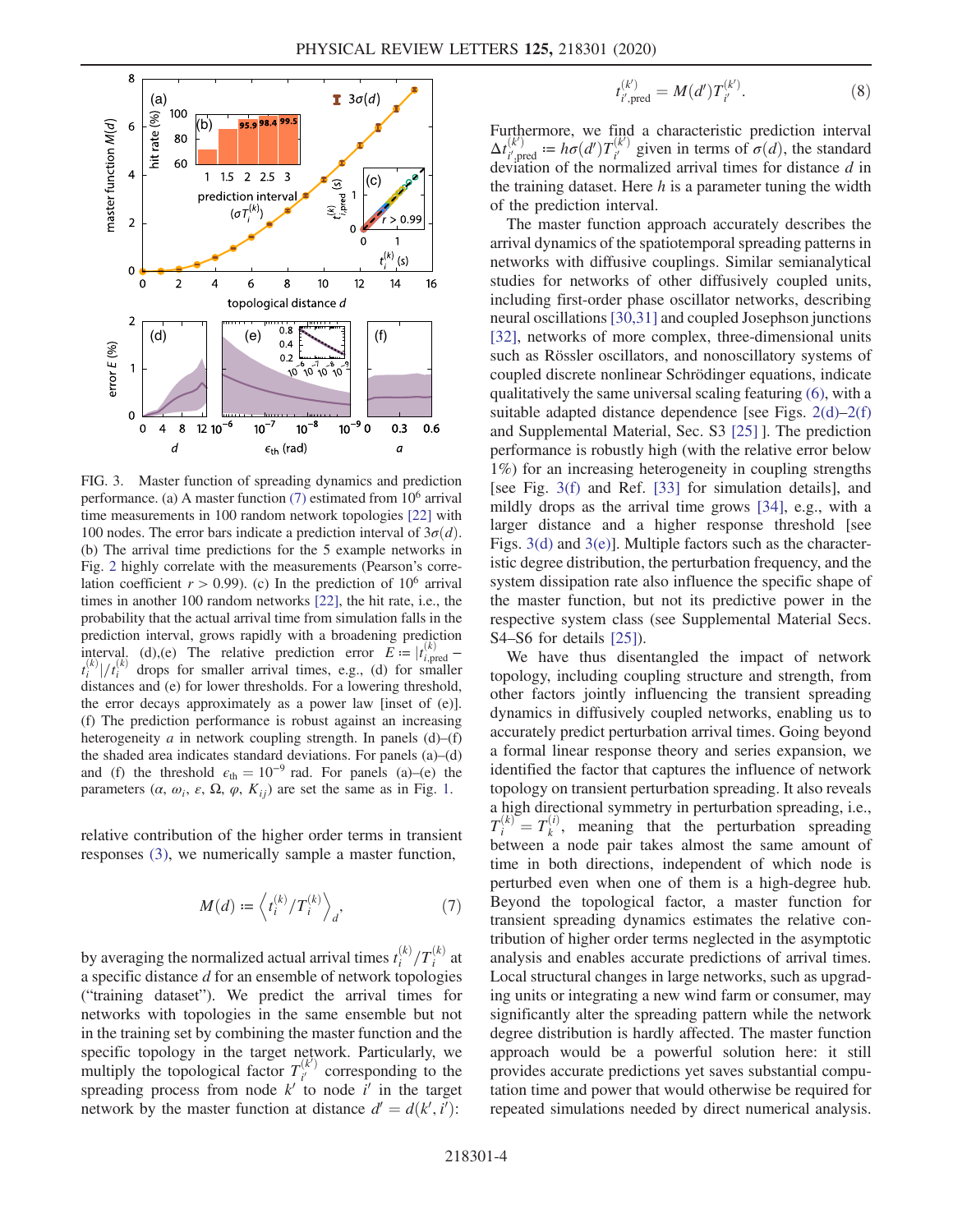<span id="page-3-0"></span>

FIG. 3. Master function of spreading dynamics and prediction performance. (a) A master function  $(7)$  estimated from  $10^6$  arrival time measurements in 100 random network topologies [\[22\]](#page-4-16) with 100 nodes. The error bars indicate a prediction interval of  $3\sigma(d)$ . (b) The arrival time predictions for the 5 example networks in Fig. [2](#page-2-0) highly correlate with the measurements (Pearson's correlation coefficient  $r > 0.99$ ). (c) In the prediction of 10<sup>6</sup> arrival times in another 100 random networks [\[22\],](#page-4-16) the hit rate, i.e., the probability that the actual arrival time from simulation falls in the prediction interval, grows rapidly with a broadening prediction interval. (d),(e) The relative prediction error  $E := |t_{i,\text{pred}}^{(k)} - t^{(k)}| / t^{(k)}$  drops for smaller arrival times e.g. (d) for smaller  $t_i^{(k)}|/t_i^{(k)}$  drops for smaller arrival times, e.g., (d) for smaller<br>distances and (e) for lower thresholds. For a lowering threshold distances and (e) for lower thresholds. For a lowering threshold, the error decays approximately as a power law [inset of (e)]. (f) The prediction performance is robust against an increasing heterogeneity  $a$  in network coupling strength. In panels  $(d)$ – $(f)$ the shaded area indicates standard deviations. For panels (a)–(d) and (f) the threshold  $\epsilon_{th} = 10^{-9}$  rad. For panels (a)–(e) the parameters  $(\alpha, \omega_i, \varepsilon, \Omega, \varphi, K_{ij})$  are set the same as in Fig. [1](#page-1-0).

<span id="page-3-1"></span>relative contribution of the higher order terms in transient responses [\(3\)](#page-1-4), we numerically sample a master function,

$$
M(d) := \left\langle t_i^{(k)} / T_i^{(k)} \right\rangle_d,\tag{7}
$$

by averaging the normalized actual arrival times  $t_i^{(k)}/T_i^{(k)}$  at a specific distance  $d$  for an ensemble of network topologies ("training dataset"). We predict the arrival times for networks with topologies in the same ensemble but not in the training set by combining the master function and the specific topology in the target network. Particularly, we multiply the topological factor  $T_{i'}^{(k')}$  corresponding to the spreading process from node  $k'$  to node  $i'$  in the target network by the master function at distance  $d' = d(k', \tilde{i'})$ :

$$
t_{i',\text{pred}}^{(k')} = M(d')T_{i'}^{(k')}.
$$
 (8)

Furthermore, we find a characteristic prediction interval  $\Delta t_{i',\text{pred}}^{(k)} := h\sigma(d')T_{i'}^{(k')}$  given in terms of  $\sigma(d)$ , the standard<br>deviation of the normalized arrival times for distance d in deviation of the normalized arrival times for distance  $d$  in the training dataset. Here  $h$  is a parameter tuning the width of the prediction interval.

The master function approach accurately describes the arrival dynamics of the spatiotemporal spreading patterns in networks with diffusive couplings. Similar semianalytical studies for networks of other diffusively coupled units, including first-order phase oscillator networks, describing neural oscillations [\[30,31\]](#page-4-18) and coupled Josephson junctions [\[32\]](#page-4-19), networks of more complex, three-dimensional units such as Rössler oscillators, and nonoscillatory systems of coupled discrete nonlinear Schrödinger equations, indicate qualitatively the same universal scaling featuring [\(6\),](#page-2-1) with a suitable adapted distance dependence [see Figs. [2\(d\)](#page-2-0)–[2\(f\)](#page-2-0) and Supplemental Material, Sec. S3 [\[25\]](#page-4-13) ]. The prediction performance is robustly high (with the relative error below 1%) for an increasing heterogeneity in coupling strengths [see Fig. [3\(f\)](#page-3-0) and Ref. [\[33\]](#page-4-20) for simulation details], and mildly drops as the arrival time grows [\[34\],](#page-4-21) e.g., with a larger distance and a higher response threshold [see Figs. [3\(d\)](#page-3-0) and [3\(e\)\]](#page-3-0). Multiple factors such as the characteristic degree distribution, the perturbation frequency, and the system dissipation rate also influence the specific shape of the master function, but not its predictive power in the respective system class (see Supplemental Material Secs. S4–S6 for details [\[25\]\)](#page-4-13).

We have thus disentangled the impact of network topology, including coupling structure and strength, from other factors jointly influencing the transient spreading dynamics in diffusively coupled networks, enabling us to accurately predict perturbation arrival times. Going beyond a formal linear response theory and series expansion, we identified the factor that captures the influence of network topology on transient perturbation spreading. It also reveals a high directional symmetry in perturbation spreading, i.e.,  $T_i^{(k)} = T_k^{(i)}$ , meaning that the perturbation spreading<br>between a node pair takes almost the same amount of between a node pair takes almost the same amount of time in both directions, independent of which node is perturbed even when one of them is a high-degree hub. Beyond the topological factor, a master function for transient spreading dynamics estimates the relative contribution of higher order terms neglected in the asymptotic analysis and enables accurate predictions of arrival times. Local structural changes in large networks, such as upgrading units or integrating a new wind farm or consumer, may significantly alter the spreading pattern while the network degree distribution is hardly affected. The master function approach would be a powerful solution here: it still provides accurate predictions yet saves substantial computation time and power that would otherwise be required for repeated simulations needed by direct numerical analysis.